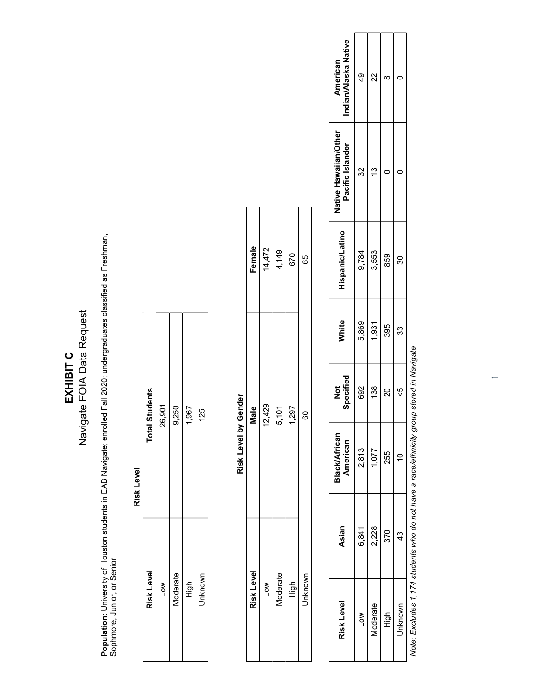| うとりこく | <b>Total Students</b> | 26,901           | 9,250    | 1,967 | 125     |
|-------|-----------------------|------------------|----------|-------|---------|
|       | Risk Level            | $\sum_{i=1}^{n}$ | Moderate | High  | Unknown |

| <b>Risk Level</b> | Male   | Female |
|-------------------|--------|--------|
| $\mathsf{S}$      | 12,429 | 14,472 |
| Vloderate         | 5,101  | 4,149  |
| High              | 1,297  | 670    |
| <b>Jnknown</b>    | 8      | 65     |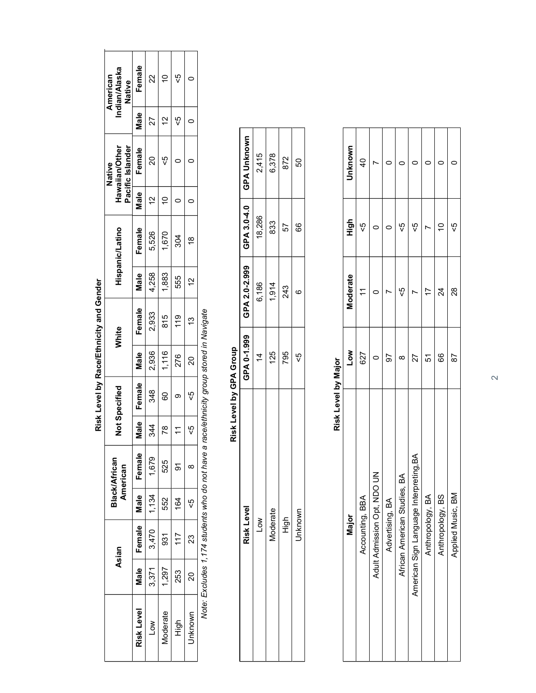| Indian/Alaska<br>American<br>Native          | Female      | 22                        |          | ۴,             |               |                  |
|----------------------------------------------|-------------|---------------------------|----------|----------------|---------------|------------------|
|                                              | Male        | 27                        | 2        | ç5             |               |                  |
| Hawaiian/Other<br>Pacific Islander<br>Native | Female      | 20                        | Ŷ        |                |               |                  |
|                                              | Male        |                           |          |                |               |                  |
| Hispanic/Latino                              | Female      | 5,526                     | 1,670    | 304            | $\frac{8}{1}$ |                  |
|                                              | Male        | 4,258                     | 1,883    | 555            | 2             |                  |
| White                                        | Female      | 2,933                     | 815      | $\frac{6}{10}$ |               |                  |
|                                              | Male        | 2,936                     | 1,116    | 276            | ລ             | .<br>.<br>.<br>. |
| Not Specified                                | Female      | 348                       | 8        |                | ζ,            |                  |
|                                              | Male<br>M   | 344                       | R<br>Z   |                | ζ,            | $\ddot{ }$       |
| <b>Black/African</b><br>American             | Female      | 1,679                     | 525      | ò              | x             |                  |
|                                              | Male<br>    |                           | 552      | 164            | λè            |                  |
| Asian                                        | Male Female | $3,371$   $3,470$   1,134 | 931      | 117            | <u>ನ</u>      |                  |
|                                              |             |                           | 1,297    | 253            | 20            |                  |
|                                              | Risk Level  | $\geq$                    | Moderate | igh<br>Hig     | Unknown       |                  |

| Risk Level         | GPA 0-1.999 | GPA 2.0-2.999 |        | GPA 3.0-4.0 GPA Unknown |
|--------------------|-------------|---------------|--------|-------------------------|
| ξ                  | 4           | 6,186         | 18,286 | 2,415                   |
| rate<br>loder<br>I | 125         | 1,914         | 833    | 6,378                   |
| c<br>호<br>エ        | 795         | 243           | 57     | 872                     |
| SWN<br>Inkno       | δ           |               | 66     | SO                      |
|                    |             |               |        |                         |

| Female<br>Indian/Alaska<br>$\tilde{c}$<br>22<br>δÀ<br>American<br>$\circ$<br>Native<br>Male<br>$\sqrt{5}$<br>57<br>27<br>$\circ$<br>GPA Unknown<br>Hawaiian/Other<br>Unknown<br>Pacific Islander<br>Female<br>2,415<br>6,378<br>$\overline{20}$<br>45<br>872<br>$\circ$<br>SO<br>$\overline{4}$<br>$\circ$<br>∼<br>Native<br>Male<br>$\tilde{0}$<br>5<br>$\circ$<br>$\circ$<br>GPA 3.0-4.0<br>18,286<br>High<br>833<br>-5<br>8<br>57<br>$\circ$<br><b>Hispanic/Latino</b><br>Female<br>1,670<br>5,526<br>304<br>$\frac{8}{10}$<br>GPA 2.0-2.999<br>1,883<br>4,258<br>Male<br>555<br><b>Moderate</b><br>$\frac{1}{2}$<br>6,186<br>1,914<br>243<br>$\overline{\mathcal{L}}$<br>$\circ$<br>$\circ$<br>Female<br>Note: Excludes 1,174 students who do not have a race/ethnicity group stored in Navigate<br>2,933<br>815<br>119<br>$\frac{1}{3}$<br>White<br>GPA 0-1.999<br>Risk Level by GPA Group<br><b>Low</b><br>795<br>2,936<br>1,116<br>125<br>Male<br>$\overline{4}$<br>$\sqrt{5}$<br>627<br>276<br>20<br>$\circ$<br>Risk Level by Major<br>Female<br>Not Specified<br>348<br>60<br>$\sqrt{5}$<br>$\circ$<br>Male<br>344<br>-5<br>$\overline{78}$<br>$\tilde{\tau}$<br>Female<br>1,679<br><b>Black/African</b><br>525<br>$\overline{5}$<br>$\infty$<br>American<br>Adult Admission Opt, NDO UN<br>1,134<br>Male<br>Accounting, BBA<br>164<br>552<br>$\frac{6}{2}$<br>Risk Level<br>Moderate<br>Unknown<br>Major<br>High<br>$\frac{1}{2}$<br>Female<br>3,470<br>931<br>117<br>23<br>Asian<br>3,371<br>1,297<br>Male<br>253<br>20 | $\circ$<br>$\circ$<br>$\circ$<br>$\sqrt{2}$<br>ᢤ<br>$\circ$<br>45<br>$\blacktriangleright$<br>$\overline{\phantom{a}}$<br>50<br>27<br>$\infty$<br>American Sign Language Interpreting, BA<br>African American Studies, BA<br>Advertising, BA | $\circ$<br>$\overline{\phantom{a}}$<br>17<br>$\overline{5}$<br>Anthropology, BA<br>High<br>Low | $\circ$<br>$\tilde{0}$<br>$\overline{2}$<br>66<br>Anthropology, BS<br>Risk Level<br>Unknown<br>Moderate |
|------------------------------------------------------------------------------------------------------------------------------------------------------------------------------------------------------------------------------------------------------------------------------------------------------------------------------------------------------------------------------------------------------------------------------------------------------------------------------------------------------------------------------------------------------------------------------------------------------------------------------------------------------------------------------------------------------------------------------------------------------------------------------------------------------------------------------------------------------------------------------------------------------------------------------------------------------------------------------------------------------------------------------------------------------------------------------------------------------------------------------------------------------------------------------------------------------------------------------------------------------------------------------------------------------------------------------------------------------------------------------------------------------------------------------------------------------------------------------------------------------------------------------------|----------------------------------------------------------------------------------------------------------------------------------------------------------------------------------------------------------------------------------------------|------------------------------------------------------------------------------------------------|---------------------------------------------------------------------------------------------------------|
|                                                                                                                                                                                                                                                                                                                                                                                                                                                                                                                                                                                                                                                                                                                                                                                                                                                                                                                                                                                                                                                                                                                                                                                                                                                                                                                                                                                                                                                                                                                                    |                                                                                                                                                                                                                                              |                                                                                                |                                                                                                         |
|                                                                                                                                                                                                                                                                                                                                                                                                                                                                                                                                                                                                                                                                                                                                                                                                                                                                                                                                                                                                                                                                                                                                                                                                                                                                                                                                                                                                                                                                                                                                    |                                                                                                                                                                                                                                              |                                                                                                |                                                                                                         |
|                                                                                                                                                                                                                                                                                                                                                                                                                                                                                                                                                                                                                                                                                                                                                                                                                                                                                                                                                                                                                                                                                                                                                                                                                                                                                                                                                                                                                                                                                                                                    |                                                                                                                                                                                                                                              |                                                                                                |                                                                                                         |
|                                                                                                                                                                                                                                                                                                                                                                                                                                                                                                                                                                                                                                                                                                                                                                                                                                                                                                                                                                                                                                                                                                                                                                                                                                                                                                                                                                                                                                                                                                                                    |                                                                                                                                                                                                                                              |                                                                                                |                                                                                                         |
|                                                                                                                                                                                                                                                                                                                                                                                                                                                                                                                                                                                                                                                                                                                                                                                                                                                                                                                                                                                                                                                                                                                                                                                                                                                                                                                                                                                                                                                                                                                                    |                                                                                                                                                                                                                                              |                                                                                                |                                                                                                         |
|                                                                                                                                                                                                                                                                                                                                                                                                                                                                                                                                                                                                                                                                                                                                                                                                                                                                                                                                                                                                                                                                                                                                                                                                                                                                                                                                                                                                                                                                                                                                    |                                                                                                                                                                                                                                              |                                                                                                |                                                                                                         |
|                                                                                                                                                                                                                                                                                                                                                                                                                                                                                                                                                                                                                                                                                                                                                                                                                                                                                                                                                                                                                                                                                                                                                                                                                                                                                                                                                                                                                                                                                                                                    |                                                                                                                                                                                                                                              |                                                                                                |                                                                                                         |
|                                                                                                                                                                                                                                                                                                                                                                                                                                                                                                                                                                                                                                                                                                                                                                                                                                                                                                                                                                                                                                                                                                                                                                                                                                                                                                                                                                                                                                                                                                                                    |                                                                                                                                                                                                                                              |                                                                                                |                                                                                                         |
|                                                                                                                                                                                                                                                                                                                                                                                                                                                                                                                                                                                                                                                                                                                                                                                                                                                                                                                                                                                                                                                                                                                                                                                                                                                                                                                                                                                                                                                                                                                                    |                                                                                                                                                                                                                                              |                                                                                                |                                                                                                         |
|                                                                                                                                                                                                                                                                                                                                                                                                                                                                                                                                                                                                                                                                                                                                                                                                                                                                                                                                                                                                                                                                                                                                                                                                                                                                                                                                                                                                                                                                                                                                    |                                                                                                                                                                                                                                              |                                                                                                |                                                                                                         |
|                                                                                                                                                                                                                                                                                                                                                                                                                                                                                                                                                                                                                                                                                                                                                                                                                                                                                                                                                                                                                                                                                                                                                                                                                                                                                                                                                                                                                                                                                                                                    |                                                                                                                                                                                                                                              |                                                                                                |                                                                                                         |
|                                                                                                                                                                                                                                                                                                                                                                                                                                                                                                                                                                                                                                                                                                                                                                                                                                                                                                                                                                                                                                                                                                                                                                                                                                                                                                                                                                                                                                                                                                                                    |                                                                                                                                                                                                                                              |                                                                                                |                                                                                                         |
|                                                                                                                                                                                                                                                                                                                                                                                                                                                                                                                                                                                                                                                                                                                                                                                                                                                                                                                                                                                                                                                                                                                                                                                                                                                                                                                                                                                                                                                                                                                                    |                                                                                                                                                                                                                                              |                                                                                                |                                                                                                         |
|                                                                                                                                                                                                                                                                                                                                                                                                                                                                                                                                                                                                                                                                                                                                                                                                                                                                                                                                                                                                                                                                                                                                                                                                                                                                                                                                                                                                                                                                                                                                    |                                                                                                                                                                                                                                              |                                                                                                |                                                                                                         |
|                                                                                                                                                                                                                                                                                                                                                                                                                                                                                                                                                                                                                                                                                                                                                                                                                                                                                                                                                                                                                                                                                                                                                                                                                                                                                                                                                                                                                                                                                                                                    |                                                                                                                                                                                                                                              |                                                                                                |                                                                                                         |
|                                                                                                                                                                                                                                                                                                                                                                                                                                                                                                                                                                                                                                                                                                                                                                                                                                                                                                                                                                                                                                                                                                                                                                                                                                                                                                                                                                                                                                                                                                                                    |                                                                                                                                                                                                                                              |                                                                                                |                                                                                                         |
|                                                                                                                                                                                                                                                                                                                                                                                                                                                                                                                                                                                                                                                                                                                                                                                                                                                                                                                                                                                                                                                                                                                                                                                                                                                                                                                                                                                                                                                                                                                                    |                                                                                                                                                                                                                                              |                                                                                                |                                                                                                         |
|                                                                                                                                                                                                                                                                                                                                                                                                                                                                                                                                                                                                                                                                                                                                                                                                                                                                                                                                                                                                                                                                                                                                                                                                                                                                                                                                                                                                                                                                                                                                    |                                                                                                                                                                                                                                              |                                                                                                |                                                                                                         |
|                                                                                                                                                                                                                                                                                                                                                                                                                                                                                                                                                                                                                                                                                                                                                                                                                                                                                                                                                                                                                                                                                                                                                                                                                                                                                                                                                                                                                                                                                                                                    |                                                                                                                                                                                                                                              |                                                                                                |                                                                                                         |
|                                                                                                                                                                                                                                                                                                                                                                                                                                                                                                                                                                                                                                                                                                                                                                                                                                                                                                                                                                                                                                                                                                                                                                                                                                                                                                                                                                                                                                                                                                                                    |                                                                                                                                                                                                                                              |                                                                                                |                                                                                                         |
|                                                                                                                                                                                                                                                                                                                                                                                                                                                                                                                                                                                                                                                                                                                                                                                                                                                                                                                                                                                                                                                                                                                                                                                                                                                                                                                                                                                                                                                                                                                                    |                                                                                                                                                                                                                                              |                                                                                                |                                                                                                         |
|                                                                                                                                                                                                                                                                                                                                                                                                                                                                                                                                                                                                                                                                                                                                                                                                                                                                                                                                                                                                                                                                                                                                                                                                                                                                                                                                                                                                                                                                                                                                    |                                                                                                                                                                                                                                              |                                                                                                |                                                                                                         |
|                                                                                                                                                                                                                                                                                                                                                                                                                                                                                                                                                                                                                                                                                                                                                                                                                                                                                                                                                                                                                                                                                                                                                                                                                                                                                                                                                                                                                                                                                                                                    |                                                                                                                                                                                                                                              |                                                                                                | $\circ$<br>$\sqrt{5}$<br>$28$<br>$87$<br>Applied Music, BM                                              |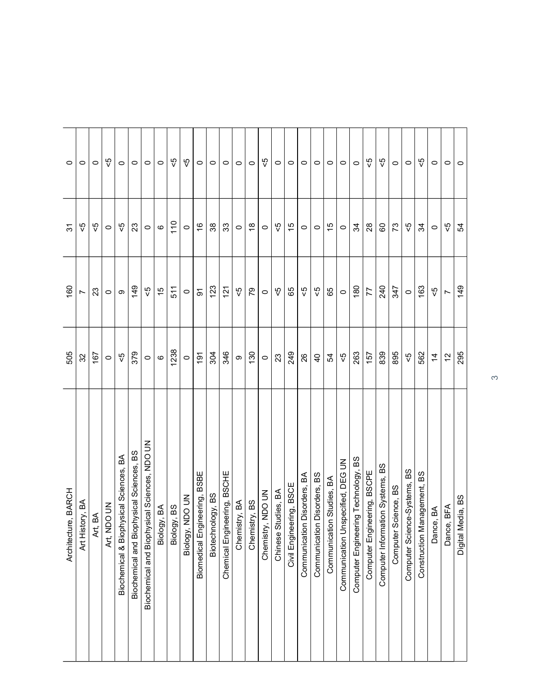| Architecture, BARCH                          | 505                      | 160                      | $\tilde{\mathcal{E}}$      |                                 |
|----------------------------------------------|--------------------------|--------------------------|----------------------------|---------------------------------|
| Art History, BA                              | 32                       | $\sim$                   | 4>                         | $\circ$ $\circ$                 |
| Art, BA                                      | 167                      | 23                       | $\frac{6}{2}$              | $\circ$                         |
| Art, NDO UN                                  | $\circ$                  | $\circ$                  | $\circ$                    | $\sqrt{5}$                      |
| Biochemical & Biophysical Sciences, BA       | Ş                        | $\, \circ \,$            | $\frac{6}{2}$              | $\circ$                         |
| Biochemical and Biophysical Sciences, BS     | 379                      | 149                      | 23                         |                                 |
| Biochemical and Biophysical Sciences, NDO UN | $\circ$                  | $\sqrt{5}$               | $\circ$ $\circ$            | $\circ$ $\circ$ $\circ$ $\circ$ |
| Biology, BA                                  | $\circ$                  | $\frac{1}{2}$            |                            |                                 |
| Biology, BS                                  | 1238                     | 511                      | 110                        | $\frac{6}{5}$                   |
| Biology, NDO UN                              | $\circ$                  | $\circ$                  | $\circ$                    |                                 |
| Biomedical Engineering, BSBE                 | 191                      | $\overline{6}$           | $\frac{6}{5}$              |                                 |
| Biotechnology, BS                            | 304                      | 123                      | 88                         |                                 |
| Chemical Engineering, BSCHE                  | 346                      | 121                      | 33                         |                                 |
| Chemistry, BA                                | $\circ$                  | $\sqrt{5}$               |                            |                                 |
| Chemistry, BS                                | 130                      | 62                       | $\circ$ $\frac{\infty}{2}$ |                                 |
| Chemistry, NDO UN                            | $\circ$                  | $\circ$                  | $\circ$                    | $\sqrt{5}$                      |
| Chinese Studies, BA                          | 23                       | $\sqrt{5}$               | 5 >                        | $\circ$                         |
| Civil Engineering, BSCE                      | 249                      | 65                       | $\frac{1}{2}$              | $\circ$                         |
| Communication Disorders, BA                  | $26$                     | 5 <sup>2</sup>           |                            |                                 |
| Communication Disorders, BS                  | $\overline{a}$           | -5                       | $\circ$ $\circ$            | $\circ$ $\circ$                 |
| Communication Studies, BA                    | 54                       | 65                       | $\frac{5}{2}$              | $\circ$ $\circ$                 |
| Communication Unspecified, DEG UN            | $\zeta$                  | $\circ$                  | $\circ$                    |                                 |
| Computer Engineering Technology, BS          | 263                      | 180                      | $\mathcal{L}$              | $\circ$                         |
| Computer Engineering, BSCPE                  | 157                      | $\overline{\mathcal{L}}$ | 28                         | 45                              |
| Computer Information Systems, BS             | 839                      | 240                      | $\mbox{6}$                 | ζp                              |
| Computer Science, BS                         | 895                      | 347                      | 73                         |                                 |
| Computer Science-Systems, BS                 | 45                       | $\circ$                  | ς5                         | $\circ$ $\circ$                 |
| Construction Management, BS                  | 562                      | 163                      | $\mathfrak{F}$             | ౪                               |
| Dance, BA                                    | $\frac{4}{3}$            | ပု<br>V                  | $\circ$                    | $\circ$                         |
| Dance, BFA                                   | $\overline{\mathcal{L}}$ | $\overline{\phantom{a}}$ | 42                         | $\circ$                         |
| Digital Media, BS                            | 295                      | 149                      | 54                         | $\circ$                         |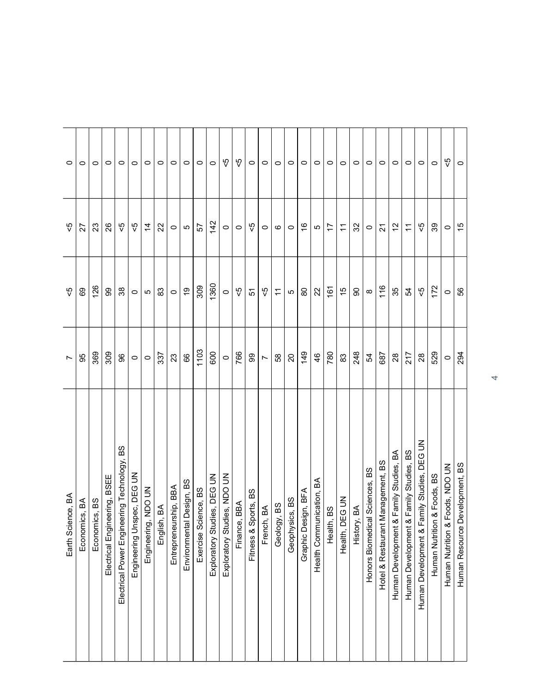| Earth Science, BA                           | $\overline{ }$          | -5                      |                                         |                         |
|---------------------------------------------|-------------------------|-------------------------|-----------------------------------------|-------------------------|
| Economics, BA                               | 95                      | 69                      |                                         |                         |
| Economics, BS                               | 369                     | 126                     | $\sqrt[n]{ \mathcal{R}   \mathcal{R} }$ | $\circ$ $\circ$ $\circ$ |
| Electrical Engineering, BSEE                | 309                     | 86                      |                                         | $\circ$                 |
| Electrical Power Engineering Technology, BS | $96\,$                  | 38                      | 5 >                                     | $\circ$                 |
| Engineering Unspec, DEG UN                  | $\circ$                 |                         | ζp                                      |                         |
| Engineering, NDO UN                         | $\circ$                 | ဝ $  \, \omega  $       |                                         |                         |
| English, BA                                 | 337                     | 83                      | $ z $ $\approx$                         |                         |
| Entrepreneurship, BBA                       | 23                      | $\circ$   $\circ$       | $\circ$ $\circ$                         |                         |
| Environmental Design, BS                    | 66                      |                         |                                         |                         |
| Exercise Science, BS                        | 1103                    | 309                     | <b>2</b>                                |                         |
| Exploratory Studies, DEG UN                 | 600                     | 1360                    | $142$                                   |                         |
| Exploratory Studies, NDO UN                 | $\circ$                 | $\circ$                 |                                         |                         |
| Finance, BBA                                | 766                     | $\sqrt{5}$              | $\circ$ $\circ$ $\circ$                 | 55                      |
| Fitness & Sports, BS                        | 99                      | $5\,$                   | $\sqrt{5}$                              |                         |
| French, BA                                  | L                       | 45                      | $\circ$                                 |                         |
| Geology, BS                                 | $58\,$                  | $\overline{\mathbf{r}}$ | $\circ$                                 | $\circ$ $\circ$ $\circ$ |
| Geophysics, BS                              | $\overline{\mathbf{S}}$ | $\mathfrak{g}$          | $\circ$                                 | $\circ$                 |
| Graphic Design, BFA                         | 149                     | $\rm 80$                | $\frac{1}{6}$                           |                         |
| Health Communication, BA                    | 46                      | $\overline{2}$          | $\mathfrak{S}$                          | $\circ$ $\circ$ $\circ$ |
| Health, BS                                  | 780                     | $\widetilde{6}$         | $\overline{1}$                          | $\circ$ $\circ$         |
| Health, DEG UN                              | 83                      | $\frac{1}{2}$           | $\tilde{\tau}$                          |                         |
| History, BA                                 | 248                     | $\rm ^{\rm o}$          | 32                                      | $\circ$                 |
| Honors Biomedical Sciences, BS              | 54                      | $\infty$                | $\circ$                                 | $\circ$                 |
| Hotel & Restaurant Management, BS           | 687                     | 116                     | $\overline{\mathcal{S}}$                |                         |
| Human Development & Family Studies, BA      | 28                      | 35                      | $\overline{\mathcal{L}}$                | $\circ$ $\circ$         |
| Human Development & Family Studies, BS      | 217                     | 54                      | $\overline{\mathbf{r}}$                 | $\circ$                 |
| Human Development & Family Studies, DEG UN  | 28                      | ç5                      | ζp                                      | $\circ$                 |
| Human Nutrition & Foods, BS                 | 529                     | 172                     | 59                                      | $\circ$                 |
| Human Nutrition & Foods, NDO UN             | $\circ$                 | $\circ$                 | $\circ$                                 | Ϋ́                      |
| Human Resource Development, BS              | 294                     | 56                      | $\frac{5}{2}$                           | $\circ$                 |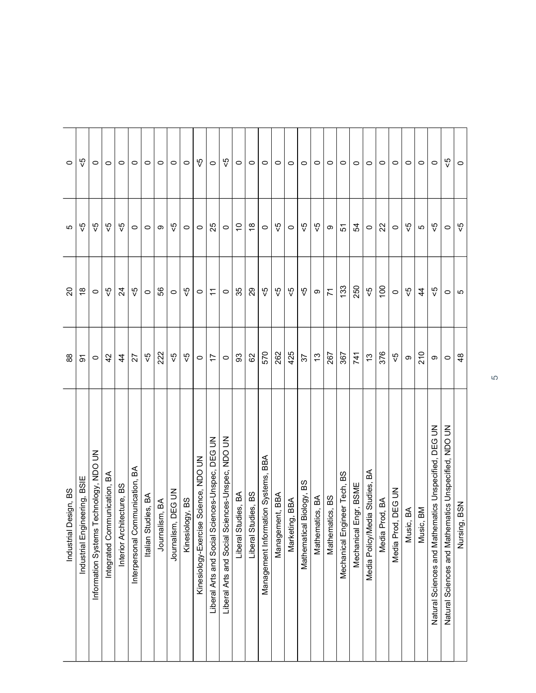| Industrial Design, BS                                | $^{\circ}_{\infty}$       |                               | $\mathfrak{g}$                                                  | $\circ$                |
|------------------------------------------------------|---------------------------|-------------------------------|-----------------------------------------------------------------|------------------------|
| Industrial Engineering, BSIE                         | $\overline{5}$            | $\frac{8}{18}$                | 5 >                                                             | $\sqrt{5}$             |
| Information Systems Technology, NDO UN               | $\circ$                   | $\circ$                       | $\sqrt{5}$                                                      |                        |
| Integrated Communication, BA                         | 42                        | 5                             |                                                                 |                        |
| Interior Architecture, BS                            | $\frac{4}{3}$             | z                             | $\frac{6}{5}$                                                   |                        |
| Interpersonal Communication, BA                      | 27                        | 45                            |                                                                 |                        |
| Italian Studies, BA                                  | ςp                        |                               |                                                                 |                        |
| Journalism, BA                                       | 222                       | $  \circ  $ යි                |                                                                 |                        |
| Journalism, DEG UN                                   | 45                        |                               | $\circ$ $\circ$ $\circ$ $\circ$ $\circ$ $\circ$ $\circ$ $\circ$ | $\circ$  0 0 0 0 0 0 0 |
| Kinesiology, BS                                      | Ϋ́                        | $\circ$ $\sqrt{2}$            |                                                                 |                        |
| Kinesiology-Exercise Science, NDO UN                 | $\circ$                   | $\circ$                       |                                                                 |                        |
| Liberal Arts and Social Sciences-Unspec, DEG UN      | $\overline{\overline{z}}$ |                               |                                                                 |                        |
| Liberal Arts and Social Sciences-Unspec, NDO UN      | $\circ$                   | $\vert \Xi \vert \circ \vert$ | $ \mathfrak{A}  \circ  \mathfrak{L}  \mathfrak{B}$              | $\circ$ $\sqrt{5}$     |
| Liberal Studies, BA                                  | 93                        |                               |                                                                 |                        |
| Liberal Studies, BS                                  | 62                        | $\frac{35}{29}$               |                                                                 |                        |
| Management Information Systems, BBA                  | 570                       |                               | $\circ$                                                         |                        |
| Management, BBA                                      | 262                       | $\frac{6}{5}$                 | $\sqrt{5}$                                                      |                        |
| Marketing, BBA                                       | 425                       | $\sqrt{5}$                    | $\circ$                                                         |                        |
| Mathematical Biology, BS                             | 57                        | -5>                           | $\sqrt{5}$                                                      |                        |
| Mathematics, BA                                      | $\frac{3}{2}$             | $\mathbf{\circ}$              | $\frac{6}{5}$                                                   |                        |
| Mathematics, BS                                      | 267                       | $\overline{7}$                | ໑ $\sqrt{2}$                                                    |                        |
| Mechanical Engineer Tech, BS                         | 367                       | $\frac{13}{3}$                |                                                                 |                        |
| Mechanical Engr, BSME                                | 741                       | 250                           | 54                                                              | $\circ$                |
| Media Policy/Media Studies, BA                       | $\frac{3}{2}$             | ç5                            | $\circ$                                                         | $\circ$                |
| Media Prod, BA                                       | 376                       | $\overline{100}$              | $\approx$                                                       |                        |
| Media Prod, DEG UN                                   | 45                        | $\circ$                       | $\circ$                                                         |                        |
| Music, BA                                            | $\circ$                   | 45                            | ζp                                                              |                        |
| Music, BM                                            | 210                       | $rac{6}{4}$                   | $\frac{5}{9}$                                                   | $\circ$  0 0 0 0       |
| Natural Sciences and Mathematics Unspecified, DEG UN | $\circ$                   |                               |                                                                 |                        |
| Natural Sciences and Mathematics Unspecified, NDO UN | $\circ$                   | $\circ$                       | $\circ$                                                         | Ϋ́                     |
| Nursing, BSN                                         | $\frac{8}{3}$             | $\mathbf 5$                   | ΥŶ                                                              | $\circ$                |